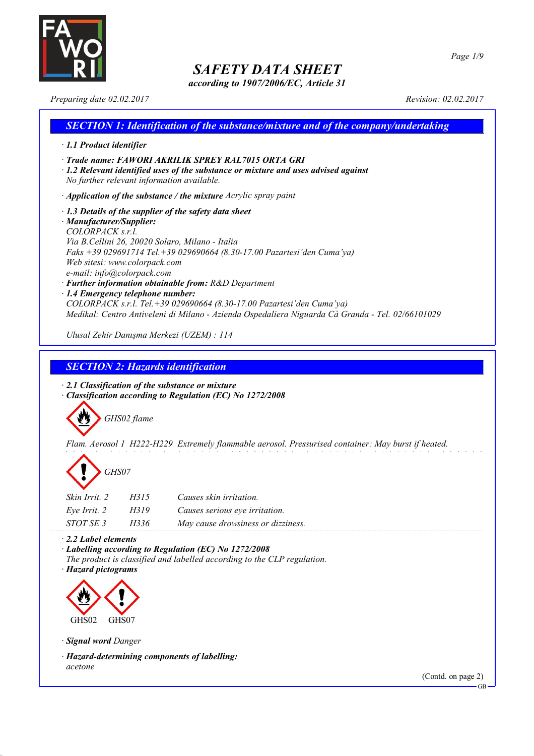

*according to 1907/2006/EC, Article 31*

*Page 1/9*

*Preparing date 02.02.2017 Revision: 02.02.2017*

| <b>SECTION 1: Identification of the substance/mixture and of the company/undertaking</b>                                                                                                                                                                                                                                                                                                                                                                                                                                                                                                     |
|----------------------------------------------------------------------------------------------------------------------------------------------------------------------------------------------------------------------------------------------------------------------------------------------------------------------------------------------------------------------------------------------------------------------------------------------------------------------------------------------------------------------------------------------------------------------------------------------|
| $\cdot$ 1.1 Product identifier                                                                                                                                                                                                                                                                                                                                                                                                                                                                                                                                                               |
| · Trade name: FAWORI AKRILIK SPREY RAL7015 ORTA GRI<br>$\cdot$ 1.2 Relevant identified uses of the substance or mixture and uses advised against<br>No further relevant information available.                                                                                                                                                                                                                                                                                                                                                                                               |
| $\cdot$ Application of the substance / the mixture Acrylic spray paint                                                                                                                                                                                                                                                                                                                                                                                                                                                                                                                       |
| $\cdot$ 1.3 Details of the supplier of the safety data sheet<br>· Manufacturer/Supplier:<br>COLORPACKsrl.<br>Via B. Cellini 26, 20020 Solaro, Milano - Italia<br>Faks +39 029691714 Tel. +39 029690664 (8.30-17.00 Pazartesi'den Cuma'ya)<br>Web sitesi: www.colorpack.com<br>e-mail: info@colorpack.com<br>· Further information obtainable from: R&D Department<br>$\cdot$ 1.4 Emergency telephone number:<br>$COLORPACK$ s.r.l. Tel. +39 029690664 (8.30-17.00 Pazartesi'den Cuma'ya)<br>Medikal: Centro Antiveleni di Milano - Azienda Ospedaliera Niguarda Cà Granda - Tel. 02/66101029 |
| Ulusal Zehir Danışma Merkezi (UZEM) : 114                                                                                                                                                                                                                                                                                                                                                                                                                                                                                                                                                    |

*SECTION 2: Hazards identification*

*· 2.1 Classification of the substance or mixture · Classification according to Regulation (EC) No 1272/2008*



*Flam. Aerosol 1 H222-H229 Extremely flammable aerosol. Pressurised container: May burst if heated.*



| Skin Irrit. 2 | H315 | Causes skin irritation.            |
|---------------|------|------------------------------------|
| Eve Irrit. 2  | H319 | Causes serious eye irritation.     |
| STOT SE 3     | H336 | May cause drowsiness or dizziness. |

*· 2.2 Label elements*

*· Labelling according to Regulation (EC) No 1272/2008 The product is classified and labelled according to the CLP regulation.*

*· Hazard pictograms*



*· Signal word Danger*

*· Hazard-determining components of labelling: acetone*

(Contd. on page 2)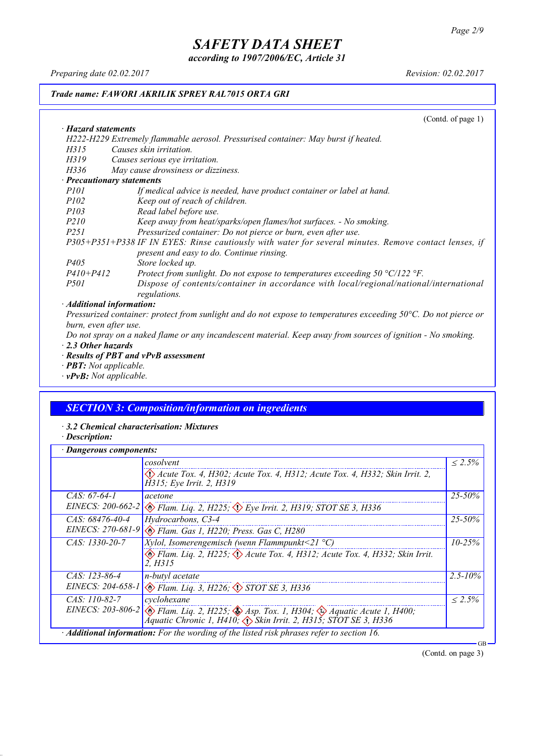*according to 1907/2006/EC, Article 31*

*Preparing date 02.02.2017 Revision: 02.02.2017*

#### *Trade name: FAWORI AKRILIK SPREY RAL7015 ORTA GRI*

(Contd. of page 1) *· Hazard statements H222-H229 Extremely flammable aerosol. Pressurised container: May burst if heated. H315 Causes skin irritation. H319 Causes serious eye irritation. H336 May cause drowsiness or dizziness. · Precautionary statements P101 If medical advice is needed, have product container or label at hand. P102 Keep out of reach of children. P103 Read label before use. P210 Keep away from heat/sparks/open flames/hot surfaces. - No smoking. P251 Pressurized container: Do not pierce or burn, even after use. P305+P351+P338 IF IN EYES: Rinse cautiously with water for several minutes. Remove contact lenses, if present and easy to do. Continue rinsing. P405 Store locked up.*<br>*P410+P412 Protect from sure P410+P412 Protect from sunlight. Do not expose to temperatures exceeding 50 °C/122 °F. P501 Dispose of contents/container in accordance with local/regional/national/international regulations. · Additional information:*

Pressurized container: protect from sunlight and do not expose to temperatures exceeding 50°C. Do not pierce or *burn, even after use.*

Do not spray on a naked flame or any incandescent material. Keep away from sources of ignition - No smoking. *· 2.3 Other hazards*

- *· Results of PBT and vPvB assessment*
- *· PBT: Not applicable.*
- *· vPvB: Not applicable.*

### *SECTION 3: Composition/information on ingredients*

- *· 3.2 Chemical characterisation: Mixtures*
- *· Description:*

| Dangerous components: |                                                                                                                                                                                                  |              |
|-----------------------|--------------------------------------------------------------------------------------------------------------------------------------------------------------------------------------------------|--------------|
|                       | cosolvent                                                                                                                                                                                        | $< 2.5\%$    |
|                       | $\langle \rangle$ Acute Tox. 4, H302; Acute Tox. 4, H312; Acute Tox. 4, H332; Skin Irrit. 2,<br>H315; Eye Irrit. 2, H319                                                                         |              |
| $CAS: 67-64-1$        | acetone                                                                                                                                                                                          | $25 - 50\%$  |
|                       | EINECS: 200-662-2 & Flam. Liq. 2, H225; $\Diamond$ Eye Irrit. 2, H319; STOT SE 3, H336                                                                                                           |              |
| $CAS: 68476-40-4$     | Hydrocarbons, C3-4                                                                                                                                                                               | $25 - 50\%$  |
|                       | EINECS: 270-681-9 & Flam. Gas 1, H220; Press. Gas C, H280                                                                                                                                        |              |
| $CAS: 1330-20-7$      | <i>Xylol, Isomerengemisch (wenn Flammpunkt</i> <21 $^{\circ}$ C)                                                                                                                                 | $10 - 25\%$  |
|                       | $\otimes$ Flam. Lig. 2, H225; $\otimes$ Acute Tox. 4, H312; Acute Tox. 4, H332; Skin Irrit.<br>2. H315                                                                                           |              |
| $CAS: 123-86-4$       | n-butyl acetate                                                                                                                                                                                  | $2.5 - 10\%$ |
|                       | EINECS: 204-658-1 & Flam. Liq. 3, H226; STOT SE 3, H336                                                                                                                                          |              |
| $CAS: 110-82-7$       | cyclohexane                                                                                                                                                                                      | $< 2.5\%$    |
|                       | EINECS: 203-806-2 $\otimes$ Flam. Liq. 2, H225; $\otimes$ Asp. Tox. 1, H304; $\otimes$ Aquatic Acute 1, H400;<br>Aquatic Chronic 1, H410; $\langle \rangle$ Skin Irrit. 2, H315; STOT SE 3, H336 |              |
|                       | Additional information: For the wording of the listed risk phrases refer to section 16.                                                                                                          | GB           |

(Contd. on page 3)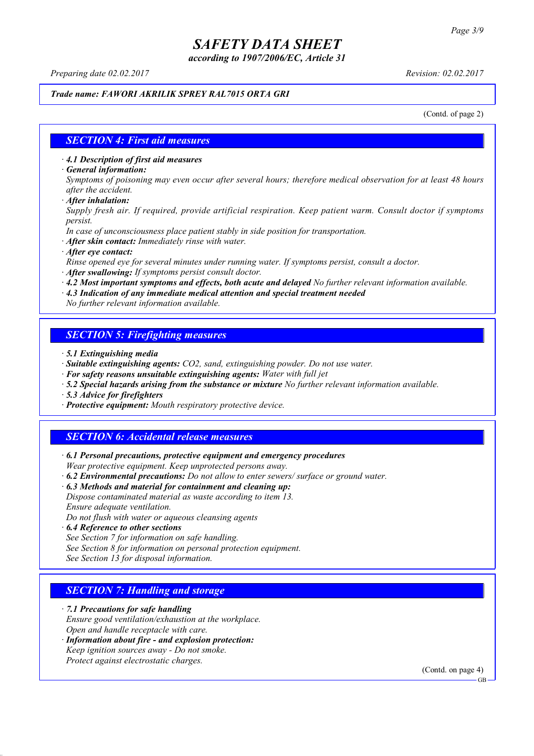*according to 1907/2006/EC, Article 31*

*Preparing date 02.02.2017 Revision: 02.02.2017*

#### *Trade name: FAWORI AKRILIK SPREY RAL7015 ORTA GRI*

(Contd. of page 2)

#### *SECTION 4: First aid measures*

*· 4.1 Description of first aid measures*

*· General information:*

Symptoms of poisoning may even occur after several hours; therefore medical observation for at least 48 hours *after the accident.*

*· After inhalation:*

*Supply fresh air. If required, provide artificial respiration. Keep patient warm. Consult doctor if symptoms persist.*

*In case of unconsciousness place patient stably in side position for transportation.*

- *· After skin contact: Immediately rinse with water.*
- *· After eye contact:*

*Rinse opened eye for several minutes under running water. If symptoms persist, consult a doctor.*

*· After swallowing: If symptoms persist consult doctor.*

*· 4.2 Most important symptoms and effects, both acute and delayed No further relevant information available.*

*· 4.3 Indication of any immediate medical attention and special treatment needed*

*No further relevant information available.*

### *SECTION 5: Firefighting measures*

- *· 5.1 Extinguishing media*
- *· Suitable extinguishing agents: CO2, sand, extinguishing powder. Do not use water.*
- *· For safety reasons unsuitable extinguishing agents: Water with full jet*
- *· 5.2 Special hazards arising from the substance or mixture No further relevant information available.*
- *· 5.3 Advice for firefighters*
- *· Protective equipment: Mouth respiratory protective device.*

### *SECTION 6: Accidental release measures*

*· 6.1 Personal precautions, protective equipment and emergency procedures Wear protective equipment. Keep unprotected persons away.*

*· 6.2 Environmental precautions: Do not allow to enter sewers/ surface or ground water.*

*· 6.3 Methods and material for containment and cleaning up:*

*Dispose contaminated material as waste according to item 13. Ensure adequate ventilation.*

*Do not flush with water or aqueous cleansing agents*

- *· 6.4 Reference to other sections*
- *See Section 7 for information on safe handling.*

*See Section 8 for information on personal protection equipment.*

*See Section 13 for disposal information.*

#### *SECTION 7: Handling and storage*

*· 7.1 Precautions for safe handling*

*Ensure good ventilation/exhaustion at the workplace.*

*Open and handle receptacle with care.*

*· Information about fire - and explosion protection: Keep ignition sources away - Do not smoke.*

*Protect against electrostatic charges.*

(Contd. on page 4)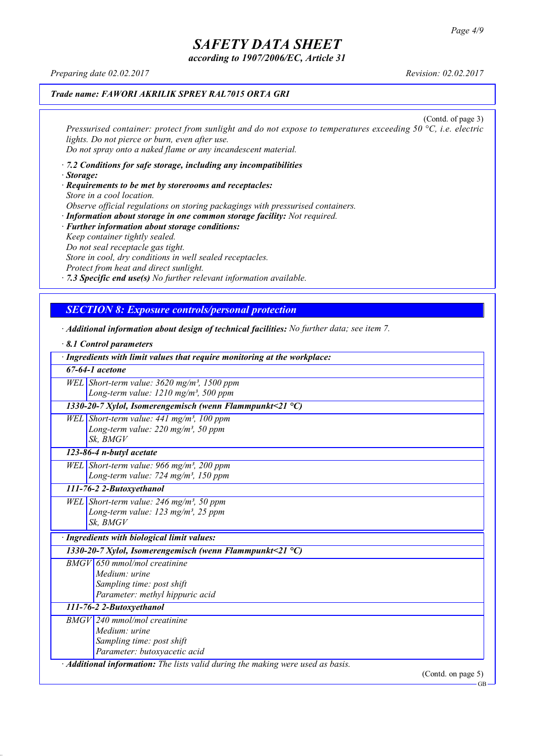*according to 1907/2006/EC, Article 31*

*Preparing date 02.02.2017 Revision: 02.02.2017*

## *Trade name: FAWORI AKRILIK SPREY RAL7015 ORTA GRI*

(Contd. of page 3) *Pressurised container: protect from sunlight and do not expose to temperatures exceeding 50 °C, i.e. electric lights. Do not pierce or burn, even after use. Do not spray onto a naked flame or any incandescent material.*

- *· 7.2 Conditions for safe storage, including any incompatibilities · Storage:*
- *· Requirements to be met by storerooms and receptacles: Store in a cool location. Observe official regulations on storing packagings with pressurised containers.*
- *· Information about storage in one common storage facility: Not required. · Further information about storage conditions: Keep container tightly sealed. Do not seal receptacle gas tight. Store in cool, dry conditions in well sealed receptacles. Protect from heat and direct sunlight.*

*· 7.3 Specific end use(s) No further relevant information available.*

## *SECTION 8: Exposure controls/personal protection*

*· Additional information about design of technical facilities: No further data; see item 7.*

| 8.1 Control parameters                                                                                                   |  |  |
|--------------------------------------------------------------------------------------------------------------------------|--|--|
| · Ingredients with limit values that require monitoring at the workplace:                                                |  |  |
| $67-64-1$ acetone                                                                                                        |  |  |
| WEL Short-term value: $3620$ mg/m <sup>3</sup> , 1500 ppm<br>Long-term value: 1210 mg/m <sup>3</sup> , 500 ppm           |  |  |
| 1330-20-7 Xylol, Isomerengemisch (wenn Flammpunkt<21 $^{\circ}$ C)                                                       |  |  |
| WEL Short-term value: $441$ mg/m <sup>3</sup> , 100 ppm<br>Long-term value: $220$ mg/m <sup>3</sup> , 50 ppm<br>Sk, BMGV |  |  |
| 123-86-4 n-butyl acetate                                                                                                 |  |  |
| WEL Short-term value: 966 mg/m <sup>3</sup> , 200 ppm<br>Long-term value: $724$ mg/m <sup>3</sup> , 150 ppm              |  |  |
| 111-76-2 2-Butoxyethanol                                                                                                 |  |  |
| WEL Short-term value: 246 mg/m <sup>3</sup> , 50 ppm<br>Long-term value: $123$ mg/m <sup>3</sup> , 25 ppm<br>Sk, BMGV    |  |  |
| · Ingredients with biological limit values:                                                                              |  |  |
| 1330-20-7 Xylol, Isomerengemisch (wenn Flammpunkt<21 $^{\circ}$ C)                                                       |  |  |
| BMGV 650 mmol/mol creatinine<br>Medium: urine<br>Sampling time: post shift<br>Parameter: methyl hippuric acid            |  |  |
| 111-76-2 2-Butoxyethanol                                                                                                 |  |  |
| $BMGV$ 240 mmol/mol creatinine<br>Medium: urine<br>Sampling time: post shift<br>Parameter: butoxyacetic acid             |  |  |
| · Additional information: The lists valid during the making were used as basis.<br>$\alpha$                              |  |  |

(Contd. on page 5)

GB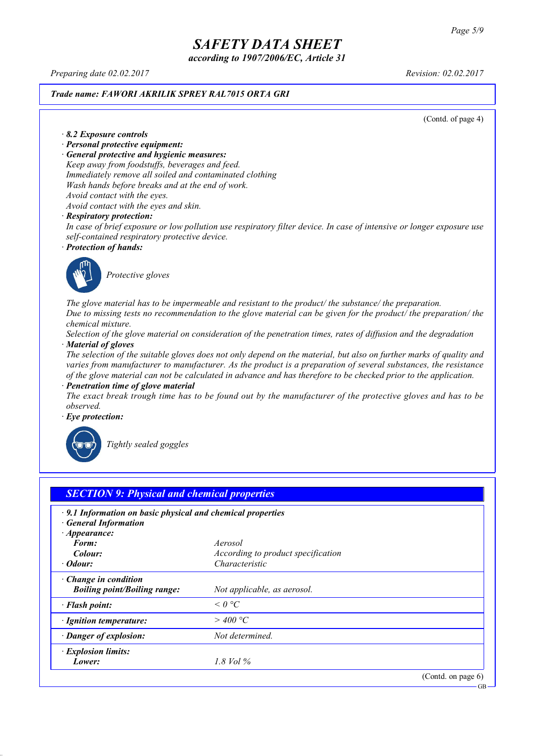*according to 1907/2006/EC, Article 31*

*Preparing date 02.02.2017 Revision: 02.02.2017*

#### *Trade name: FAWORI AKRILIK SPREY RAL7015 ORTA GRI*

(Contd. of page 4)

*· 8.2 Exposure controls*

- *· Personal protective equipment:*
- *· General protective and hygienic measures:*

*Keep away from foodstuffs, beverages and feed. Immediately remove all soiled and contaminated clothing Wash hands before breaks and at the end of work. Avoid contact with the eyes.*

*Avoid contact with the eyes and skin.*

#### *· Respiratory protection:*

In case of brief exposure or low pollution use respiratory filter device. In case of intensive or longer exposure use *self-contained respiratory protective device.*

*· Protection of hands:*



*Protective gloves*

*The glove material has to be impermeable and resistant to the product/ the substance/ the preparation.* Due to missing tests no recommendation to the glove material can be given for the product/ the preparation/ the *chemical mixture.*

Selection of the glove material on consideration of the penetration times, rates of diffusion and the degradation *· Material of gloves*

The selection of the suitable gloves does not only depend on the material, but also on further marks of quality and *varies from manufacturer to manufacturer. As the product is a preparation of several substances, the resistance* of the glove material can not be calculated in advance and has therefore to be checked prior to the application.

*· Penetration time of glove material*

The exact break trough time has to be found out by the manufacturer of the protective gloves and has to be *observed.*

*· Eye protection:*



*Tightly sealed goggles*

| $\cdot$ 9.1 Information on basic physical and chemical properties<br><b>General Information</b> |                                    |  |
|-------------------------------------------------------------------------------------------------|------------------------------------|--|
| $\cdot$ Appearance:                                                                             |                                    |  |
| Form:                                                                                           | Aerosol                            |  |
| Colour:                                                                                         | According to product specification |  |
| · Odour:                                                                                        | Characteristic                     |  |
| $\cdot$ Change in condition                                                                     |                                    |  |
| <b>Boiling point/Boiling range:</b>                                                             | Not applicable, as aerosol.        |  |
| · Flash point:                                                                                  | $\leq$ 0 °C                        |  |
| · Ignition temperature:                                                                         | $>$ 400 °C                         |  |
| · Danger of explosion:                                                                          | Not determined.                    |  |
| · Explosion limits:                                                                             |                                    |  |
| Lower:                                                                                          | 1.8 Vol $\%$                       |  |

GB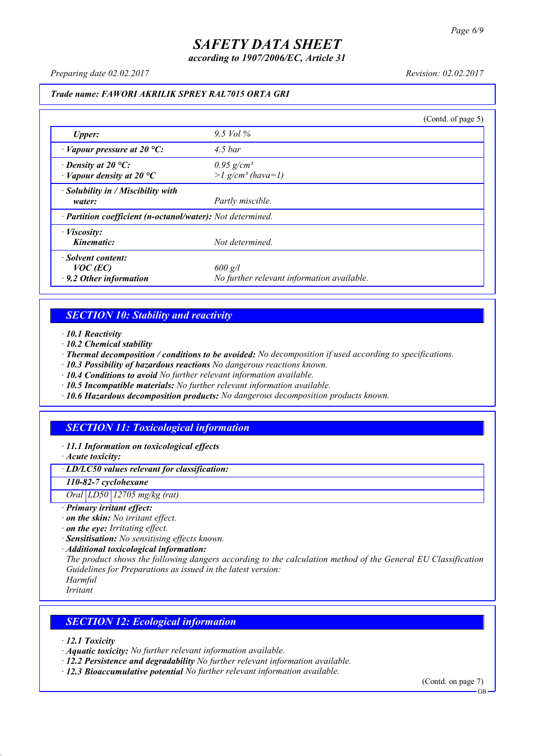*according to 1907/2006/EC, Article 31*

*Preparing date 02.02.2017 Revision: 02.02.2017*

#### *Trade name: FAWORI AKRILIK SPREY RAL7015 ORTA GRI*

|                                                                 |                                                             | (Contd. of page 5) |
|-----------------------------------------------------------------|-------------------------------------------------------------|--------------------|
| Upper:                                                          | 9.5 Vol $\%$                                                |                    |
| $\cdot$ Vapour pressure at 20 °C:                               | $4.5\,bar$                                                  |                    |
| $\cdot$ Density at 20 °C:<br>$\cdot$ Vapour density at 20 °C    | $0.95$ g/cm <sup>3</sup><br>$>l$ g/cm <sup>3</sup> (hava=1) |                    |
| · Solubility in / Miscibility with<br>water:                    | Partly miscible.                                            |                    |
| · Partition coefficient (n-octanol/water): Not determined.      |                                                             |                    |
| $\cdot$ <i>Viscosity:</i><br>Kinematic:                         | Not determined.                                             |                    |
| Solvent content:<br>$VOC$ (EC)<br>$\cdot$ 9.2 Other information | $600$ g/l<br>No further relevant information available.     |                    |

### *SECTION 10: Stability and reactivity*

*· 10.1 Reactivity*

- *· 10.2 Chemical stability*
- *· Thermal decomposition / conditions to be avoided: No decomposition if used according to specifications.*
- *· 10.3 Possibility of hazardous reactions No dangerous reactions known.*
- *· 10.4 Conditions to avoid No further relevant information available.*
- *· 10.5 Incompatible materials: No further relevant information available.*
- *· 10.6 Hazardous decomposition products: No dangerous decomposition products known.*

## *SECTION 11: Toxicological information*

*· 11.1 Information on toxicological effects*

*· Acute toxicity:*

*· LD/LC50 values relevant for classification:*

*110-82-7 cyclohexane*

*Oral LD50 12705 mg/kg (rat)*

- *· Primary irritant effect:*
- *· on the skin: No irritant effect.*
- *· on the eye: Irritating effect.*
- *· Sensitisation: No sensitising effects known.*
- *· Additional toxicological information:*

*The product shows the following dangers according to the calculation method of the General EU Classification Guidelines for Preparations as issued in the latest version:*

*Harmful Irritant*

### *SECTION 12: Ecological information*

*· 12.1 Toxicity*

- *· Aquatic toxicity: No further relevant information available.*
- *· 12.2 Persistence and degradability No further relevant information available.*
- *· 12.3 Bioaccumulative potential No further relevant information available.*

(Contd. on page 7) **GB**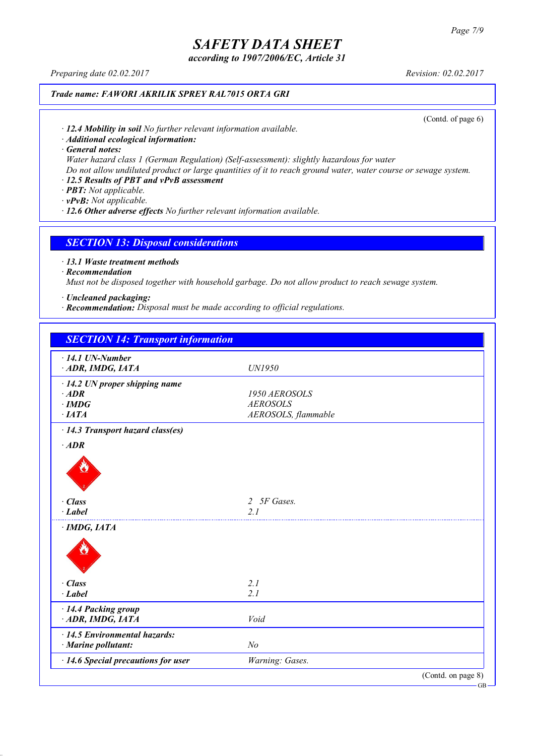*according to 1907/2006/EC, Article 31*

*Preparing date 02.02.2017 Revision: 02.02.2017*

## *Trade name: FAWORI AKRILIK SPREY RAL7015 ORTA GRI*

(Contd. of page 6)

*· 12.4 Mobility in soil No further relevant information available.*

*· Additional ecological information:*

*· General notes:*

*Water hazard class 1 (German Regulation) (Self-assessment): slightly hazardous for water*

Do not allow undiluted product or large quantities of it to reach ground water, water course or sewage system.

## *· 12.5 Results of PBT and vPvB assessment*

*· PBT: Not applicable.*

*· vPvB: Not applicable.*

*· 12.6 Other adverse effects No further relevant information available.*

#### *SECTION 13: Disposal considerations*

*· 13.1 Waste treatment methods*

*· Recommendation*

*Must not be disposed together with household garbage. Do not allow product to reach sewage system.*

*· Uncleaned packaging:*

*· Recommendation: Disposal must be made according to official regulations.*

| <b>SECTION 14: Transport information</b> |                             |                    |
|------------------------------------------|-----------------------------|--------------------|
| $\cdot$ 14.1 UN-Number                   |                             |                    |
| ADR, IMDG, IATA                          | UN1950                      |                    |
| $\cdot$ 14.2 UN proper shipping name     |                             |                    |
| $·$ <i>ADR</i>                           | 1950 AEROSOLS               |                    |
| $\cdot$ IMDG                             | <b>AEROSOLS</b>             |                    |
| $\cdot$ IATA                             | AEROSOLS, flammable         |                    |
| · 14.3 Transport hazard class(es)        |                             |                    |
| $·$ <i>ADR</i>                           |                             |                    |
|                                          |                             |                    |
| · Class                                  | 5F Gases.<br>$\overline{2}$ |                    |
| $-Label$                                 | 21                          |                    |
| $\cdot$ IMDG, IATA                       |                             |                    |
|                                          |                             |                    |
| · Class                                  | 2.1                         |                    |
| $\cdot$ Label                            | 2.1                         |                    |
| · 14.4 Packing group                     |                             |                    |
| ADR, IMDG, IATA                          | Void                        |                    |
| · 14.5 Environmental hazards:            |                             |                    |
| · Marine pollutant:                      | N <sub>o</sub>              |                    |
| · 14.6 Special precautions for user      | Warning: Gases.             |                    |
|                                          |                             | (Contd. on page 8) |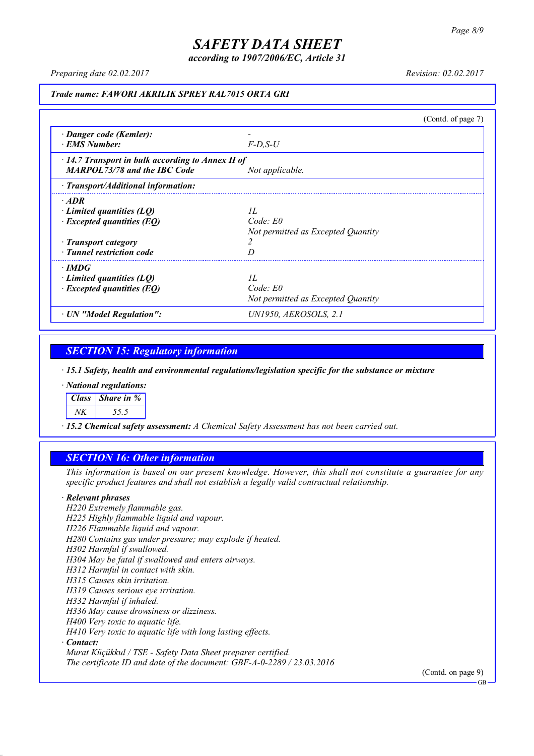*according to 1907/2006/EC, Article 31*

*Preparing date 02.02.2017 Revision: 02.02.2017*

### *Trade name: FAWORI AKRILIK SPREY RAL7015 ORTA GRI*

|                                                                                                                                 |                                                          | (Contd. of page 7) |
|---------------------------------------------------------------------------------------------------------------------------------|----------------------------------------------------------|--------------------|
| · Danger code (Kemler):<br>· EMS Number:                                                                                        | $F-D, S-U$                                               |                    |
| $\cdot$ 14.7 Transport in bulk according to Annex II of<br><b>MARPOL73/78 and the IBC Code</b>                                  | Not applicable.                                          |                    |
| · Transport/Additional information:                                                                                             |                                                          |                    |
| $\cdot$ ADR<br>Limited quantities (LO)<br>$\cdot$ Excepted quantities (EQ)<br>· Transport category<br>· Tunnel restriction code | H.<br>$Code$ $E0$<br>Not permitted as Excepted Quantity  |                    |
| $\cdot$ IMDG<br>Limited quantities (LQ)<br>$\cdot$ Excepted quantities (EQ)                                                     | II.<br>$Code$ $E0$<br>Not permitted as Excepted Quantity |                    |
| · UN "Model Regulation":                                                                                                        | UN1950, AEROSOLS, 2.1                                    |                    |

### *SECTION 15: Regulatory information*

*· 15.1 Safety, health and environmental regulations/legislation specific for the substance or mixture*

*· National regulations:*

*Class Share in %*

*NK 55.5*

*· 15.2 Chemical safety assessment: A Chemical Safety Assessment has not been carried out.*

#### *SECTION 16: Other information*

This information is based on our present knowledge. However, this shall not constitute a guarantee for any *specific product features and shall not establish a legally valid contractual relationship.*

#### *· Relevant phrases*

*H220 Extremely flammable gas. H225 Highly flammable liquid and vapour. H226 Flammable liquid and vapour. H280 Contains gas under pressure; may explode if heated. H302 Harmful if swallowed. H304 May be fatal if swallowed and enters airways. H312 Harmful in contact with skin. H315 Causes skin irritation. H319 Causes serious eye irritation. H332 Harmful if inhaled. H336 May cause drowsiness or dizziness. H400 Very toxic to aquatic life. H410 Very toxic to aquatic life with long lasting effects. · Contact: Murat Küçükkul / TSE - Safety Data Sheet preparer certified.*

*The certificate ID and date of the document: GBF-A-0-2289 / 23.03.2016*

(Contd. on page 9)

GB